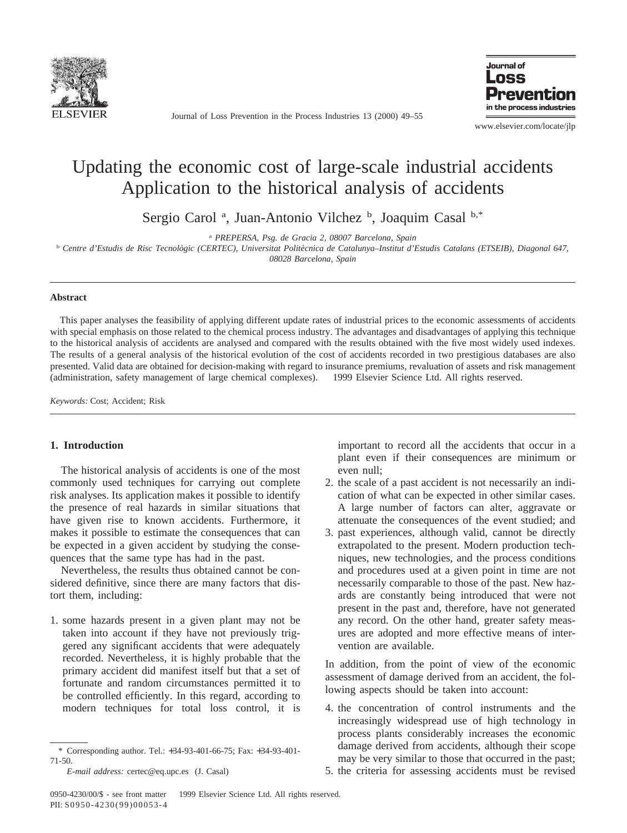

Journal of Loss Prevention in the Process Industries 13 (2000) 49–55



www.elsevier.com/locate/jlp

# Updating the economic cost of large-scale industrial accidents Application to the historical analysis of accidents

Sergio Carol<sup>a</sup>, Juan-Antonio Vilchez<sup>b</sup>, Joaquim Casal<sup>b,\*</sup>

<sup>a</sup> *PREPERSA, Psg. de Gracia 2, 08007 Barcelona, Spain*

<sup>b</sup> Centre d'Estudis de Risc Tecnològic (CERTEC), Universitat Politècnica de Catalunya–Institut d'Estudis Catalans (ETSEIB), Diagonal 647,

*08028 Barcelona, Spain*

### **Abstract**

This paper analyses the feasibility of applying different update rates of industrial prices to the economic assessments of accidents with special emphasis on those related to the chemical process industry. The advantages and disadvantages of applying this technique to the historical analysis of accidents are analysed and compared with the results obtained with the five most widely used indexes. The results of a general analysis of the historical evolution of the cost of accidents recorded in two prestigious databases are also presented. Valid data are obtained for decision-making with regard to insurance premiums, revaluation of assets and risk management (administration, safety management of large chemical complexes). © 1999 Elsevier Science Ltd. All rights reserved.

*Keywords:* Cost; Accident; Risk

### **1. Introduction**

The historical analysis of accidents is one of the most commonly used techniques for carrying out complete risk analyses. Its application makes it possible to identify the presence of real hazards in similar situations that have given rise to known accidents. Furthermore, it makes it possible to estimate the consequences that can be expected in a given accident by studying the consequences that the same type has had in the past.

Nevertheless, the results thus obtained cannot be considered definitive, since there are many factors that distort them, including:

1. some hazards present in a given plant may not be taken into account if they have not previously triggered any significant accidents that were adequately recorded. Nevertheless, it is highly probable that the primary accident did manifest itself but that a set of fortunate and random circumstances permitted it to be controlled efficiently. In this regard, according to modern techniques for total loss control, it is important to record all the accidents that occur in a plant even if their consequences are minimum or even null;

- 2. the scale of a past accident is not necessarily an indication of what can be expected in other similar cases. A large number of factors can alter, aggravate or attenuate the consequences of the event studied; and
- 3. past experiences, although valid, cannot be directly extrapolated to the present. Modern production techniques, new technologies, and the process conditions and procedures used at a given point in time are not necessarily comparable to those of the past. New hazards are constantly being introduced that were not present in the past and, therefore, have not generated any record. On the other hand, greater safety measures are adopted and more effective means of intervention are available.

In addition, from the point of view of the economic assessment of damage derived from an accident, the following aspects should be taken into account:

4. the concentration of control instruments and the increasingly widespread use of high technology in process plants considerably increases the economic damage derived from accidents, although their scope may be very similar to those that occurred in the past;

<sup>\*</sup> Corresponding author. Tel.: +34-93-401-66-75; Fax: +34-93-401- 71-50.

*E-mail address:* certec@eq.upc.es (J. Casal)

<sup>5.</sup> the criteria for assessing accidents must be revised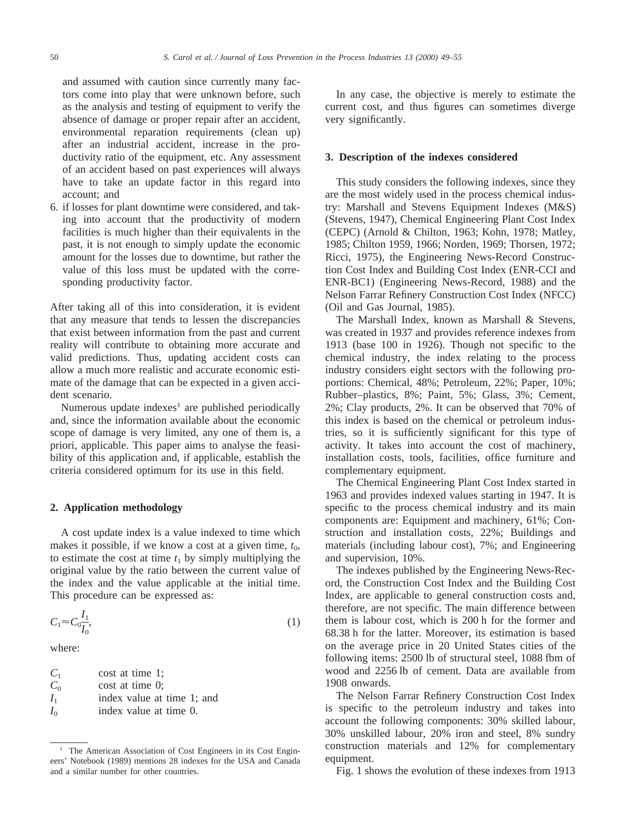and assumed with caution since currently many factors come into play that were unknown before, such as the analysis and testing of equipment to verify the absence of damage or proper repair after an accident, environmental reparation requirements (clean up) after an industrial accident, increase in the productivity ratio of the equipment, etc. Any assessment of an accident based on past experiences will always have to take an update factor in this regard into account; and

6. if losses for plant downtime were considered, and taking into account that the productivity of modern facilities is much higher than their equivalents in the past, it is not enough to simply update the economic amount for the losses due to downtime, but rather the value of this loss must be updated with the corresponding productivity factor.

After taking all of this into consideration, it is evident that any measure that tends to lessen the discrepancies that exist between information from the past and current reality will contribute to obtaining more accurate and valid predictions. Thus, updating accident costs can allow a much more realistic and accurate economic estimate of the damage that can be expected in a given accident scenario.

Numerous update indexes<sup>1</sup> are published periodically and, since the information available about the economic scope of damage is very limited, any one of them is, a priori, applicable. This paper aims to analyse the feasibility of this application and, if applicable, establish the criteria considered optimum for its use in this field.

#### **2. Application methodology**

A cost update index is a value indexed to time which makes it possible, if we know a cost at a given time,  $t_0$ , to estimate the cost at time  $t_1$  by simply multiplying the original value by the ratio between the current value of the index and the value applicable at the initial time. This procedure can be expressed as:

$$
C_1 \approx C_0 \frac{I_1}{I_0},\tag{1}
$$

where:

| $C_{1}$ | cost at time 1;            |
|---------|----------------------------|
| $C_0$   | cost at time 0;            |
| $I_{1}$ | index value at time 1: and |
| $I_0$   | index value at time 0.     |

<sup>1</sup> The American Association of Cost Engineers in its Cost Engineers' Notebook (1989) mentions 28 indexes for the USA and Canada and a similar number for other countries.

In any case, the objective is merely to estimate the current cost, and thus figures can sometimes diverge very significantly.

#### **3. Description of the indexes considered**

This study considers the following indexes, since they are the most widely used in the process chemical industry: Marshall and Stevens Equipment Indexes (M&S) (Stevens, 1947), Chemical Engineering Plant Cost Index (CEPC) (Arnold & Chilton, 1963; Kohn, 1978; Matley, 1985; Chilton 1959, 1966; Norden, 1969; Thorsen, 1972; Ricci, 1975), the Engineering News-Record Construction Cost Index and Building Cost Index (ENR-CCI and ENR-BC1) (Engineering News-Record, 1988) and the Nelson Farrar Refinery Construction Cost Index (NFCC) (Oil and Gas Journal, 1985).

The Marshall Index, known as Marshall & Stevens, was created in 1937 and provides reference indexes from 1913 (base 100 in 1926). Though not specific to the chemical industry, the index relating to the process industry considers eight sectors with the following proportions: Chemical, 48%; Petroleum, 22%; Paper, 10%; Rubber–plastics, 8%; Paint, 5%; Glass, 3%; Cement, 2%; Clay products, 2%. It can be observed that 70% of this index is based on the chemical or petroleum industries, so it is sufficiently significant for this type of activity. It takes into account the cost of machinery, installation costs, tools, facilities, office furniture and complementary equipment.

The Chemical Engineering Plant Cost Index started in 1963 and provides indexed values starting in 1947. It is specific to the process chemical industry and its main components are: Equipment and machinery, 61%; Construction and installation costs, 22%; Buildings and materials (including labour cost), 7%; and Engineering and supervision, 10%.

The indexes published by the Engineering News-Record, the Construction Cost Index and the Building Cost Index, are applicable to general construction costs and, therefore, are not specific. The main difference between them is labour cost, which is 200 h for the former and 68.38 h for the latter. Moreover, its estimation is based on the average price in 20 United States cities of the following items: 2500 lb of structural steel, 1088 fbm of wood and 2256 lb of cement. Data are available from 1908 onwards.

The Nelson Farrar Refinery Construction Cost Index is specific to the petroleum industry and takes into account the following components: 30% skilled labour, 30% unskilled labour, 20% iron and steel, 8% sundry construction materials and 12% for complementary equipment.

Fig. 1 shows the evolution of these indexes from 1913